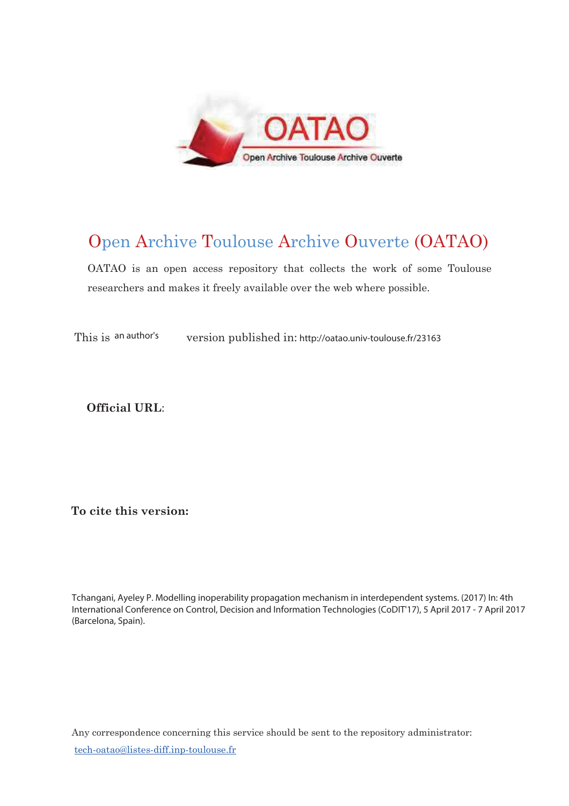

# Open Archive Toulouse Archive Ouverte (OATAO)

OATAO is an open access repository that collects the work of some Toulouse researchers and makes it freely available over the web where possible.

This is an author's an author's version published in: http://oatao.univ-toulouse.fr/23163

Official URL:

To cite this version:

Tchangani, Ayeley P. Modelling inoperability propagation mechanism in interdependent systems. (2017) In: 4th International Conference on Control, Decision and Information Technologies (CoDIT'17), 5 April 2017 - 7 April 2017 (Barcelona, Spain).

Any correspondence concerning this service should be sent to the repository administrator: <u>tech-oatao@listes-diff.inp-toulouse.fr</u>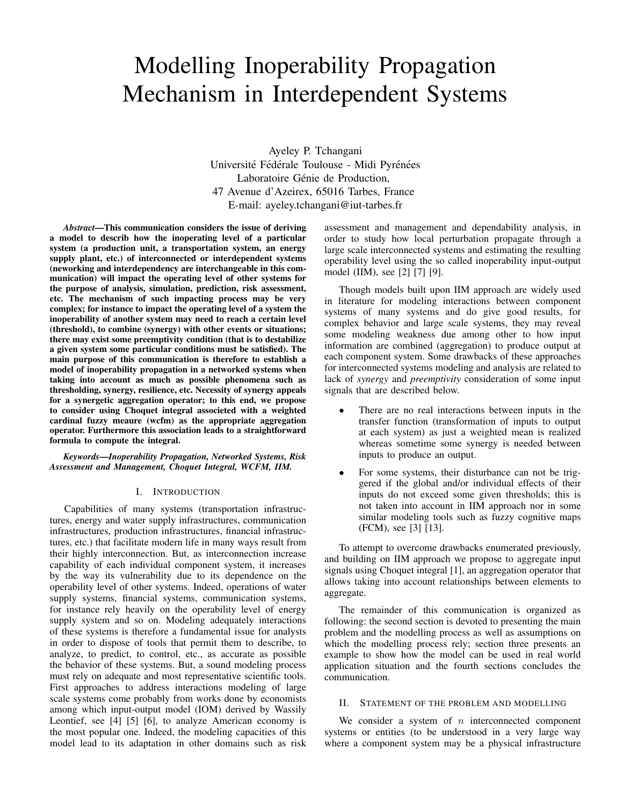# Modelling Inoperability Propagation Mechanism in Interdependent Systems

Ayeley P. Tchangani Université Fédérale Toulouse - Midi Pyrénées Laboratoire Génie de Production, 47 Avenue d'Azeirex, 65016 Tarbes, France E-mail: ayeley.tchangani@iut-tarbes.fr

*Abstract*—This communication considers the issue of deriving a model to describ how the inoperating level of a particular system (a production unit, a transportation system, an energy supply plant, etc.) of interconnected or interdependent systems (neworking and interdependency are interchangeable in this communication) will impact the operating level of other systems for the purpose of analysis, simulation, prediction, risk assessment, etc. The mechanism of such impacting process may be very complex; for instance to impact the operating level of a system the inoperability of another system may need to reach a certain level (threshold), to combine (synergy) with other events or situations; there may exist some preemptivity condition (that is to destabilize a given system some particular conditions must be satisfied). The main purpose of this communication is therefore to establish a model of inoperability propagation in a networked systems when taking into account as much as possible phenomena such as thresholding, synergy, resilience, etc. Necessity of synergy appeals for a synergetic aggregation operator; to this end, we propose to consider using Choquet integral associeted with a weighted cardinal fuzzy meaure (wcfm) as the appropriate aggregation operator. Furthermore this association leads to a straightforward formula to compute the integral.

*Keywords*—*Inoperability Propagation, Networked Systems, Risk Assessment and Management, Choquet Integral, WCFM, IIM.*

# I. INTRODUCTION

Capabilities of many systems (transportation infrastructures, energy and water supply infrastructures, communication infrastructures, production infrastructures, financial infrastructures, etc.) that facilitate modern life in many ways result from their highly interconnection. But, as interconnection increase capability of each individual component system, it increases by the way its vulnerability due to its dependence on the operability level of other systems. Indeed, operations of water supply systems, financial systems, communication systems, for instance rely heavily on the operability level of energy supply system and so on. Modeling adequately interactions of these systems is therefore a fundamental issue for analysts in order to dispose of tools that permit them to describe, to analyze, to predict, to control, etc., as accurate as possible the behavior of these systems. But, a sound modeling process must rely on adequate and most representative scientific tools. First approaches to address interactions modeling of large scale systems come probably from works done by economists among which input-output model (IOM) derived by Wassily Leontief, see [4] [5] [6], to analyze American economy is the most popular one. Indeed, the modeling capacities of this model lead to its adaptation in other domains such as risk assessment and management and dependability analysis, in order to study how local perturbation propagate through a large scale interconnected systems and estimating the resulting operability level using the so called inoperability input-output model (IIM), see [2] [7] [9].

Though models built upon IIM approach are widely used in literature for modeling interactions between component systems of many systems and do give good results, for complex behavior and large scale systems, they may reveal some modeling weakness due among other to how input information are combined (aggregation) to produce output at each component system. Some drawbacks of these approaches for interconnected systems modeling and analysis are related to lack of *synergy* and *preemptivity* consideration of some input signals that are described below.

- There are no real interactions between inputs in the transfer function (transformation of inputs to output at each system) as just a weighted mean is realized whereas sometime some synergy is needed between inputs to produce an output.
- For some systems, their disturbance can not be triggered if the global and/or individual effects of their inputs do not exceed some given thresholds; this is not taken into account in IIM approach nor in some similar modeling tools such as fuzzy cognitive maps (FCM), see [3] [13].

To attempt to overcome drawbacks enumerated previously, and building on IIM approach we propose to aggregate input signals using Choquet integral [1], an aggregation operator that allows taking into account relationships between elements to aggregate.

The remainder of this communication is organized as following: the second section is devoted to presenting the main problem and the modelling process as well as assumptions on which the modelling process rely; section three presents an example to show how the model can be used in real world application situation and the fourth sections concludes the communication.

#### II. STATEMENT OF THE PROBLEM AND MODELLING

We consider a system of  $n$  interconnected component systems or entities (to be understood in a very large way where a component system may be a physical infrastructure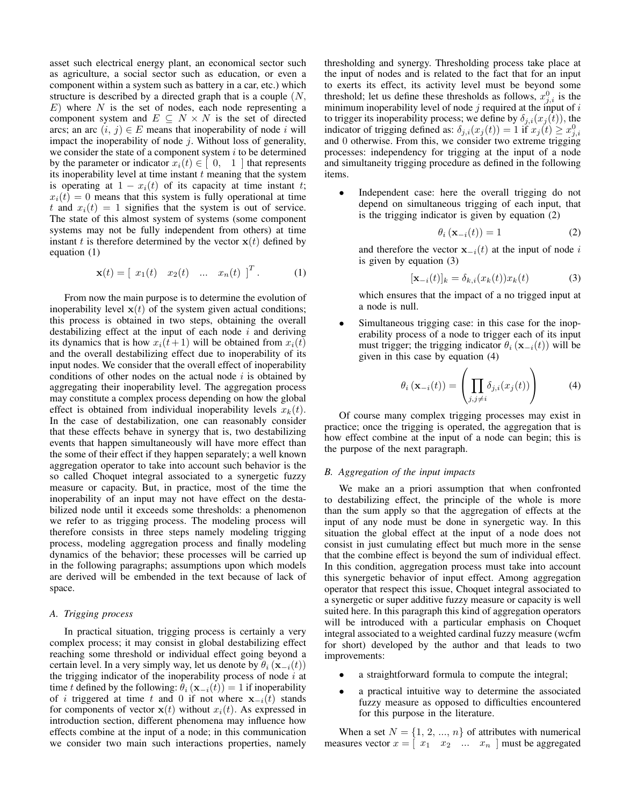asset such electrical energy plant, an economical sector such as agriculture, a social sector such as education, or even a component within a system such as battery in a car, etc.) which structure is described by a directed graph that is a couple  $(N,$  $E$ ) where N is the set of nodes, each node representing a component system and  $E \subseteq N \times N$  is the set of directed arcs; an arc  $(i, j) \in E$  means that inoperability of node i will impact the inoperability of node  $j$ . Without loss of generality, we consider the state of a component system  $i$  to be determined by the parameter or indicator  $x_i(t) \in [0, 1]$  that represents its inoperability level at time instant  $t$  meaning that the system is operating at  $1 - x_i(t)$  of its capacity at time instant t;  $x_i(t) = 0$  means that this system is fully operational at time t and  $x_i(t) = 1$  signifies that the system is out of service. The state of this almost system of systems (some component systems may not be fully independent from others) at time instant t is therefore determined by the vector  $x(t)$  defined by equation (1)

$$
\mathbf{x}(t) = \begin{bmatrix} x_1(t) & x_2(t) & \dots & x_n(t) \end{bmatrix}^T.
$$
 (1)

From now the main purpose is to determine the evolution of inoperability level  $x(t)$  of the system given actual conditions; this process is obtained in two steps, obtaining the overall destabilizing effect at the input of each node  $i$  and deriving its dynamics that is how  $x_i(t + 1)$  will be obtained from  $x_i(t)$ and the overall destabilizing effect due to inoperability of its input nodes. We consider that the overall effect of inoperability conditions of other nodes on the actual node  $i$  is obtained by aggregating their inoperability level. The aggregation process may constitute a complex process depending on how the global effect is obtained from individual inoperability levels  $x_k(t)$ . In the case of destabilization, one can reasonably consider that these effects behave in synergy that is, two destabilizing events that happen simultaneously will have more effect than the some of their effect if they happen separately; a well known aggregation operator to take into account such behavior is the so called Choquet integral associated to a synergetic fuzzy measure or capacity. But, in practice, most of the time the inoperability of an input may not have effect on the destabilized node until it exceeds some thresholds: a phenomenon we refer to as trigging process. The modeling process will therefore consists in three steps namely modeling trigging process, modeling aggregation process and finally modeling dynamics of the behavior; these processes will be carried up in the following paragraphs; assumptions upon which models are derived will be embended in the text because of lack of space.

### *A. Trigging process*

In practical situation, trigging process is certainly a very complex process; it may consist in global destabilizing effect reaching some threshold or individual effect going beyond a certain level. In a very simply way, let us denote by  $\theta_i(\mathbf{x}_{-i}(t))$ the trigging indicator of the inoperability process of node  $i$  at time t defined by the following:  $\theta_i$  ( $\mathbf{x}_{-i}(t)$ ) = 1 if inoperability of *i* triggered at time t and 0 if not where  $x_{-i}(t)$  stands for components of vector  $\mathbf{x}(t)$  without  $x_i(t)$ . As expressed in introduction section, different phenomena may influence how effects combine at the input of a node; in this communication we consider two main such interactions properties, namely thresholding and synergy. Thresholding process take place at the input of nodes and is related to the fact that for an input to exerts its effect, its activity level must be beyond some threshold; let us define these thresholds as follows,  $x_{j,i}^0$  is the minimum inoperability level of node  $j$  required at the input of  $i$ to trigger its inoperability process; we define by  $\delta_{j,i}(x_j(t))$ , the indicator of trigging defined as:  $\delta_{j,i}(x_j(t)) = 1$  if  $x_j(t) \ge x_{j,i}^0$ and 0 otherwise. From this, we consider two extreme trigging processes: independency for trigging at the input of a node and simultaneity trigging procedure as defined in the following items.

Independent case: here the overall trigging do not depend on simultaneous trigging of each input, that is the trigging indicator is given by equation (2)

$$
\theta_i\left(\mathbf{x}_{-i}(t)\right) = 1\tag{2}
$$

and therefore the vector  $x_{-i}(t)$  at the input of node i is given by equation (3)

$$
[\mathbf{x}_{-i}(t)]_k = \delta_{k,i}(x_k(t))x_k(t)
$$
\n(3)

which ensures that the impact of a no trigged input at a node is null.

Simultaneous trigging case: in this case for the inoperability process of a node to trigger each of its input must trigger; the trigging indicator  $\theta_i$  (**x**<sub>-i</sub>(t)) will be given in this case by equation (4)

$$
\theta_i(\mathbf{x}_{-i}(t)) = \left(\prod_{j,j \neq i} \delta_{j,i}(x_j(t))\right) \tag{4}
$$

Of course many complex trigging processes may exist in practice; once the trigging is operated, the aggregation that is how effect combine at the input of a node can begin; this is the purpose of the next paragraph.

#### *B. Aggregation of the input impacts*

We make an a priori assumption that when confronted to destabilizing effect, the principle of the whole is more than the sum apply so that the aggregation of effects at the input of any node must be done in synergetic way. In this situation the global effect at the input of a node does not consist in just cumulating effect but much more in the sense that the combine effect is beyond the sum of individual effect. In this condition, aggregation process must take into account this synergetic behavior of input effect. Among aggregation operator that respect this issue, Choquet integral associated to a synergetic or super additive fuzzy measure or capacity is well suited here. In this paragraph this kind of aggregation operators will be introduced with a particular emphasis on Choquet integral associated to a weighted cardinal fuzzy measure (wcfm for short) developed by the author and that leads to two improvements:

- a straightforward formula to compute the integral;
- a practical intuitive way to determine the associated fuzzy measure as opposed to difficulties encountered for this purpose in the literature.

When a set  $N = \{1, 2, ..., n\}$  of attributes with numerical measures vector  $x = \begin{bmatrix} x_1 & x_2 & \dots & x_n \end{bmatrix}$  must be aggregated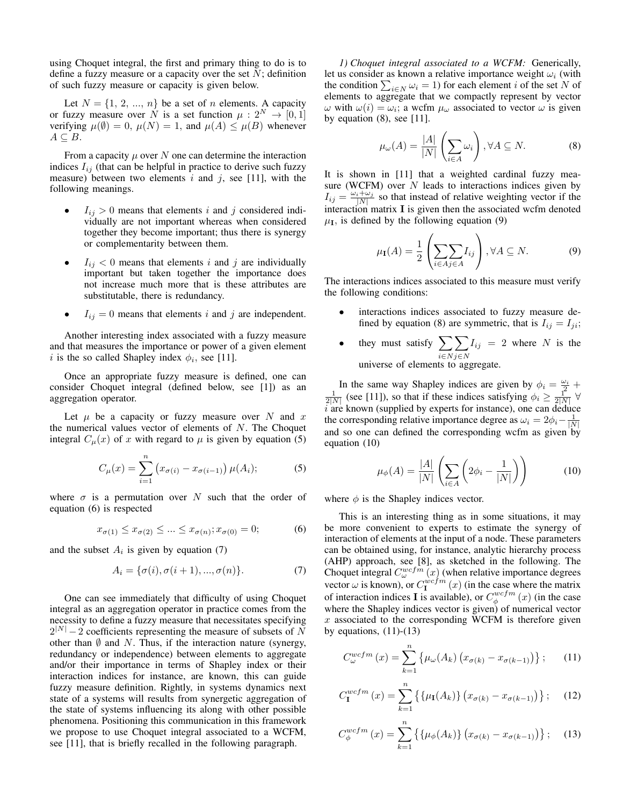using Choquet integral, the first and primary thing to do is to define a fuzzy measure or a capacity over the set  $N$ ; definition of such fuzzy measure or capacity is given below.

Let  $N = \{1, 2, ..., n\}$  be a set of n elements. A capacity or fuzzy measure over N is a set function  $\mu: 2^N \to [0, 1]$ verifying  $\mu(\emptyset) = 0$ ,  $\mu(N) = 1$ , and  $\mu(A) \leq \mu(B)$  whenever  $A \subseteq B$ .

From a capacity  $\mu$  over N one can determine the interaction indices  $I_{ij}$  (that can be helpful in practice to derive such fuzzy measure) between two elements i and j, see [11], with the following meanings.

- $I_{ij} > 0$  means that elements i and j considered individually are not important whereas when considered together they become important; thus there is synergy or complementarity between them.
- $I_{ij} < 0$  means that elements i and j are individually important but taken together the importance does not increase much more that is these attributes are substitutable, there is redundancy.
- $I_{ij} = 0$  means that elements i and j are independent.

Another interesting index associated with a fuzzy measure and that measures the importance or power of a given element i is the so called Shapley index  $\phi_i$ , see [11].

Once an appropriate fuzzy measure is defined, one can consider Choquet integral (defined below, see [1]) as an aggregation operator.

Let  $\mu$  be a capacity or fuzzy measure over N and x the numerical values vector of elements of  $N$ . The Choquet integral  $C_{\mu}(x)$  of x with regard to  $\mu$  is given by equation (5)

$$
C_{\mu}(x) = \sum_{i=1}^{n} (x_{\sigma(i)} - x_{\sigma(i-1)}) \mu(A_i); \tag{5}
$$

where  $\sigma$  is a permutation over N such that the order of equation (6) is respected

$$
x_{\sigma(1)} \le x_{\sigma(2)} \le \dots \le x_{\sigma(n)}; x_{\sigma(0)} = 0; \tag{6}
$$

and the subset  $A_i$  is given by equation (7)

$$
A_i = \{\sigma(i), \sigma(i+1), ..., \sigma(n)\}.
$$
 (7)

One can see immediately that difficulty of using Choquet integral as an aggregation operator in practice comes from the necessity to define a fuzzy measure that necessitates specifying  $2^{|N|} - 2$  coefficients representing the measure of subsets of N other than  $\emptyset$  and N. Thus, if the interaction nature (synergy, redundancy or independence) between elements to aggregate and/or their importance in terms of Shapley index or their interaction indices for instance, are known, this can guide fuzzy measure definition. Rightly, in systems dynamics next state of a systems will results from synergetic aggregation of the state of systems influencing its along with other possible phenomena. Positioning this communication in this framework we propose to use Choquet integral associated to a WCFM, see [11], that is briefly recalled in the following paragraph.

*1) Choquet integral associated to a WCFM:* Generically, let us consider as known a relative importance weight  $\omega_i$  (with the condition  $\sum_{i \in N} \omega_i = 1$ ) for each element i of the set N of elements to aggregate that we compactly represent by vector  $\omega$  with  $\omega(i) = \omega_i$ ; a wcfm  $\mu_{\omega}$  associated to vector  $\omega$  is given by equation  $(8)$ , see [11].

$$
\mu_{\omega}(A) = \frac{|A|}{|N|} \left(\sum_{i \in A} \omega_i\right), \forall A \subseteq N. \tag{8}
$$

It is shown in [11] that a weighted cardinal fuzzy measure (WCFM) over  $N$  leads to interactions indices given by  $I_{ij} = \frac{\omega_i + \omega_j}{|N|}$  so that instead of relative weighting vector if the interaction matrix I is given then the associated wcfm denoted  $\mu$ <sub>I</sub>, is defined by the following equation (9)

$$
\mu_{\mathbf{I}}(A) = \frac{1}{2} \left( \sum_{i \in A} \sum_{j \in A} I_{ij} \right), \forall A \subseteq N. \tag{9}
$$

The interactions indices associated to this measure must verify the following conditions:

- interactions indices associated to fuzzy measure defined by equation (8) are symmetric, that is  $I_{ij} = I_{ji}$ ;
- they must satisfy  $\sum$ i∈N  $\sum$ j∈N  $I_{ij} = 2$  where N is the universe of elements to aggregate.

In the same way Shapley indices are given by  $\phi_i = \frac{\omega_i}{2} + \frac{1}{2|N|}$  (see [11]), so that if these indices satisfying  $\phi_i \ge \frac{1}{2|N|}$   $\forall$  $i$  are known (supplied by experts for instance), one can deduce the corresponding relative importance degree as  $\omega_i = 2\phi_i - \frac{1}{|N|}$ and so one can defined the corresponding wcfm as given by equation (10)

$$
\mu_{\phi}(A) = \frac{|A|}{|N|} \left( \sum_{i \in A} \left( 2\phi_i - \frac{1}{|N|} \right) \right) \tag{10}
$$

where  $\phi$  is the Shapley indices vector.

This is an interesting thing as in some situations, it may be more convenient to experts to estimate the synergy of interaction of elements at the input of a node. These parameters can be obtained using, for instance, analytic hierarchy process (AHP) approach, see [8], as sketched in the following. The Choquet integral  $C_{\omega}^{wcfm}(x)$  (when relative importance degrees vector  $\omega$  is known), or  $C_1^{wcfm}(x)$  (in the case where the matrix of interaction indices **I** is available), or  $C^{wcfm}_{\phi}(x)$  (in the case where the Shapley indices vector is given) of numerical vector  $x$  associated to the corresponding WCFM is therefore given by equations,  $(11)-(13)$ 

$$
C_{\omega}^{wcfm}(x) = \sum_{k=1}^{n} \left\{ \mu_{\omega}(A_k) \left( x_{\sigma(k)} - x_{\sigma(k-1)} \right) \right\};\qquad(11)
$$

$$
C_{\mathbf{I}}^{wcfm}(x) = \sum_{k=1}^{n} \left\{ \{ \mu_{\mathbf{I}}(A_k) \} \left( x_{\sigma(k)} - x_{\sigma(k-1)} \right) \right\};\tag{12}
$$

$$
C_{\phi}^{wcfm}(x) = \sum_{k=1}^{n} \{ \{ \mu_{\phi}(A_k) \} \left( x_{\sigma(k)} - x_{\sigma(k-1)} \right) \}; \quad (13)
$$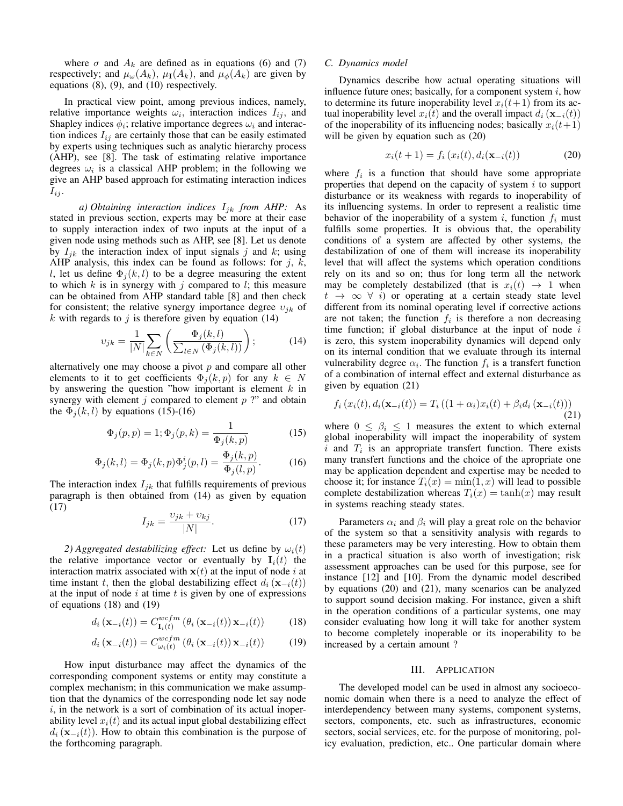where  $\sigma$  and  $A_k$  are defined as in equations (6) and (7) respectively; and  $\mu_{\omega}(A_k)$ ,  $\mu_{\mathbf{I}}(A_k)$ , and  $\mu_{\phi}(A_k)$  are given by equations (8), (9), and (10) respectively.

In practical view point, among previous indices, namely, relative importance weights  $\omega_i$ , interaction indices  $I_{ij}$ , and Shapley indices  $\phi_i$ ; relative importance degrees  $\omega_i$  and interaction indices  $I_{ij}$  are certainly those that can be easily estimated by experts using techniques such as analytic hierarchy process (AHP), see [8]. The task of estimating relative importance degrees  $\omega_i$  is a classical AHP problem; in the following we give an AHP based approach for estimating interaction indices  $I_{ij}$ .

*a) Obtaining interaction indices*  $I_{jk}$  *from AHP:* As stated in previous section, experts may be more at their ease to supply interaction index of two inputs at the input of a given node using methods such as AHP, see [8]. Let us denote by  $I_{ik}$  the interaction index of input signals j and k; using AHP analysis, this index can be found as follows: for  $j$ ,  $k$ , l, let us define  $\Phi_i(k, l)$  to be a degree measuring the extent to which  $k$  is in synergy with  $j$  compared to  $l$ ; this measure can be obtained from AHP standard table [8] and then check for consistent; the relative synergy importance degree  $v_{jk}$  of k with regards to  $j$  is therefore given by equation (14)

$$
v_{jk} = \frac{1}{|N|} \sum_{k \in N} \left( \frac{\Phi_j(k, l)}{\sum_{l \in N} (\Phi_j(k, l))} \right); \tag{14}
$$

alternatively one may choose a pivot  $p$  and compare all other elements to it to get coefficients  $\Phi_i(k, p)$  for any  $k \in N$ by answering the question "how important is element  $k$  in synergy with element  $j$  compared to element  $p$  ?" and obtain the  $\Phi_i(k, l)$  by equations (15)-(16)

$$
\Phi_j(p, p) = 1; \Phi_j(p, k) = \frac{1}{\Phi_j(k, p)}\tag{15}
$$

$$
\Phi_j(k,l) = \Phi_j(k,p)\Phi_j^i(p,l) = \frac{\Phi_j(k,p)}{\Phi_j(l,p)}.
$$
 (16)

The interaction index  $I_{jk}$  that fulfills requirements of previous paragraph is then obtained from (14) as given by equation (17)

$$
I_{jk} = \frac{\upsilon_{jk} + \upsilon_{kj}}{|N|}.\tag{17}
$$

*2) Aggregated destabilizing effect:* Let us define by  $\omega_i(t)$ the relative importance vector or eventually by  $I_i(t)$  the interaction matrix associated with  $x(t)$  at the input of node i at time instant t, then the global destabilizing effect  $d_i$  ( $\mathbf{x}_{-i}(t)$ ) at the input of node  $i$  at time  $t$  is given by one of expressions of equations (18) and (19)

$$
d_i\left(\mathbf{x}_{-i}(t)\right) = C_{\mathbf{I}_i(t)}^{wcfm} \left(\theta_i\left(\mathbf{x}_{-i}(t)\right)\mathbf{x}_{-i}(t)\right) \tag{18}
$$

$$
d_i\left(\mathbf{x}_{-i}(t)\right) = C_{\omega_i(t)}^{wcfm} \left(\theta_i\left(\mathbf{x}_{-i}(t)\right)\mathbf{x}_{-i}(t)\right) \tag{19}
$$

How input disturbance may affect the dynamics of the corresponding component systems or entity may constitute a complex mechanism; in this communication we make assumption that the dynamics of the corresponding node let say node  $i$ , in the network is a sort of combination of its actual inoperability level  $x_i(t)$  and its actual input global destabilizing effect  $d_i$  ( $\mathbf{x}_{-i}(t)$ ). How to obtain this combination is the purpose of the forthcoming paragraph.

#### *C. Dynamics model*

Dynamics describe how actual operating situations will influence future ones; basically, for a component system  $i$ , how to determine its future inoperability level  $x_i(t+1)$  from its actual inoperability level  $x_i(t)$  and the overall impact  $d_i$  ( $\mathbf{x}_{-i}(t)$ ) of the inoperability of its influencing nodes; basically  $x_i(t+1)$ will be given by equation such as  $(20)$ 

$$
x_i(t+1) = f_i(x_i(t), d_i(\mathbf{x}_{-i}(t))
$$
 (20)

where  $f_i$  is a function that should have some appropriate properties that depend on the capacity of system  $i$  to support disturbance or its weakness with regards to inoperability of its influencing systems. In order to represent a realistic time behavior of the inoperability of a system i, function  $f_i$  must fulfills some properties. It is obvious that, the operability conditions of a system are affected by other systems, the destabilization of one of them will increase its inoperability level that will affect the systems which operation conditions rely on its and so on; thus for long term all the network may be completely destabilized (that is  $x_i(t) \rightarrow 1$  when  $t \rightarrow \infty$   $\forall$  i) or operating at a certain steady state level different from its nominal operating level if corrective actions are not taken; the function  $f_i$  is therefore a non decreasing time function; if global disturbance at the input of node  $i$ is zero, this system inoperability dynamics will depend only on its internal condition that we evaluate through its internal vulnerability degree  $\alpha_i$ . The function  $f_i$  is a transfert function of a combination of internal effect and external disturbance as given by equation (21)

$$
f_i(x_i(t), d_i(\mathbf{x}_{-i}(t)) = T_i((1 + \alpha_i)x_i(t) + \beta_i d_i(\mathbf{x}_{-i}(t)))
$$
\n(21)

where  $0 \leq \beta_i \leq 1$  measures the extent to which external global inoperability will impact the inoperability of system  $i$  and  $T_i$  is an appropriate transfert function. There exists many transfert functions and the choice of the apropriate one may be application dependent and expertise may be needed to choose it; for instance  $T_i(x) = \min(1, x)$  will lead to possible complete destabilization whereas  $T_i(x) = \tanh(x)$  may result in systems reaching steady states.

Parameters  $\alpha_i$  and  $\beta_i$  will play a great role on the behavior of the system so that a sensitivity analysis with regards to these parameters may be very interesting. How to obtain them in a practical situation is also worth of investigation; risk assessment approaches can be used for this purpose, see for instance [12] and [10]. From the dynamic model described by equations (20) and (21), many scenarios can be analyzed to support sound decision making. For instance, given a shift in the operation conditions of a particular systems, one may consider evaluating how long it will take for another system to become completely inoperable or its inoperability to be increased by a certain amount ?

# III. APPLICATION

The developed model can be used in almost any socioeconomic domain when there is a need to analyze the effect of interdependency between many systems, component systems, sectors, components, etc. such as infrastructures, economic sectors, social services, etc. for the purpose of monitoring, policy evaluation, prediction, etc.. One particular domain where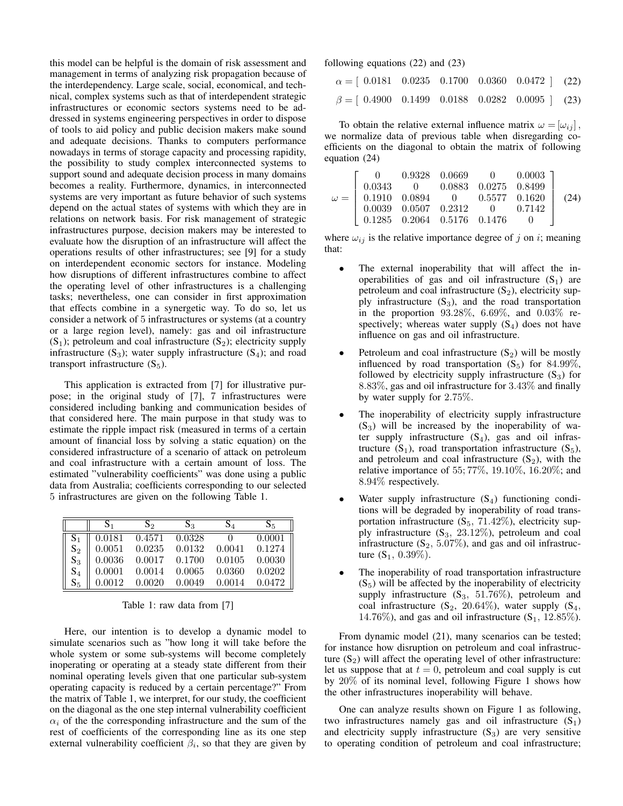this model can be helpful is the domain of risk assessment and management in terms of analyzing risk propagation because of the interdependency. Large scale, social, economical, and technical, complex systems such as that of interdependent strategic infrastructures or economic sectors systems need to be addressed in systems engineering perspectives in order to dispose of tools to aid policy and public decision makers make sound and adequate decisions. Thanks to computers performance nowadays in terms of storage capacity and processing rapidity, the possibility to study complex interconnected systems to support sound and adequate decision process in many domains becomes a reality. Furthermore, dynamics, in interconnected systems are very important as future behavior of such systems depend on the actual states of systems with which they are in relations on network basis. For risk management of strategic infrastructures purpose, decision makers may be interested to evaluate how the disruption of an infrastructure will affect the operations results of other infrastructures; see [9] for a study on interdependent economic sectors for instance. Modeling how disruptions of different infrastructures combine to affect the operating level of other infrastructures is a challenging tasks; nevertheless, one can consider in first approximation that effects combine in a synergetic way. To do so, let us consider a network of 5 infrastructures or systems (at a country or a large region level), namely: gas and oil infrastructure  $(S_1)$ ; petroleum and coal infrastructure  $(S_2)$ ; electricity supply infrastructure  $(S_3)$ ; water supply infrastructure  $(S_4)$ ; and road transport infrastructure  $(S_5)$ .

This application is extracted from [7] for illustrative purpose; in the original study of [7], 7 infrastructures were considered including banking and communication besides of that considered here. The main purpose in that study was to estimate the ripple impact risk (measured in terms of a certain amount of financial loss by solving a static equation) on the considered infrastructure of a scenario of attack on petroleum and coal infrastructure with a certain amount of loss. The estimated "vulnerability coefficients" was done using a public data from Australia; coefficients corresponding to our selected 5 infrastructures are given on the following Table 1.

|                | S <sub>1</sub> | $S_2$  | $S_3$  | $\mathrm{S}_{4}$ | $S_{5}$ |
|----------------|----------------|--------|--------|------------------|---------|
| $\mathrm{S}_1$ | 0.0181         | 0.4571 | 0.0328 |                  | 0.0001  |
| $\mathrm{S}_2$ | 0.0051         | 0.0235 | 0.0132 | 0.0041           | 0.1274  |
| $S_3$          | 0.0036         | 0.0017 | 0.1700 | 0.0105           | 0.0030  |
| $S_4$          | 0.0001         | 0.0014 | 0.0065 | 0.0360           | 0.0202  |
| $\mathrm{S}_5$ | 0.0012         | 0.0020 | 0.0049 | 0.0014           | 0.0472  |

|  |  |  |  | Table 1: raw data from [7] |  |
|--|--|--|--|----------------------------|--|
|--|--|--|--|----------------------------|--|

Here, our intention is to develop a dynamic model to simulate scenarios such as "how long it will take before the whole system or some sub-systems will become completely inoperating or operating at a steady state different from their nominal operating levels given that one particular sub-system operating capacity is reduced by a certain percentage?" From the matrix of Table 1, we interpret, for our study, the coefficient on the diagonal as the one step internal vulnerability coefficient  $\alpha_i$  of the the corresponding infrastructure and the sum of the rest of coefficients of the corresponding line as its one step external vulnerability coefficient  $\beta_i$ , so that they are given by

following equations (22) and (23)

| $\alpha = [ 0.0181 \quad 0.0235 \quad 0.1700 \quad 0.0360 \quad 0.0472 ]$ (22) |  |  |  |
|--------------------------------------------------------------------------------|--|--|--|
| $\beta = [0.4900 \quad 0.1499 \quad 0.0188 \quad 0.0282 \quad 0.0095]$ (23)    |  |  |  |

To obtain the relative external influence matrix  $\omega = [\omega_{ij}]$ , we normalize data of previous table when disregarding coefficients on the diagonal to obtain the matrix of following equation (24)

|  |  | $\omega = \left[\begin{array}{ccccc} 0 & 0.9328 & 0.0669 & 0 & 0.0003 \\ 0.0343 & 0 & 0.0883 & 0.0275 & 0.8499 \\ 0.1910 & 0.0894 & 0 & 0.5577 & 0.1620 \\ 0.0039 & 0.0507 & 0.2312 & 0 & 0.7142 \\ 0.1285 & 0.2064 & 0.5176 & 0.1476 & 0 \end{array}\right] \eqno(24)$ |  |
|--|--|-------------------------------------------------------------------------------------------------------------------------------------------------------------------------------------------------------------------------------------------------------------------------|--|
|  |  |                                                                                                                                                                                                                                                                         |  |
|  |  |                                                                                                                                                                                                                                                                         |  |
|  |  |                                                                                                                                                                                                                                                                         |  |
|  |  |                                                                                                                                                                                                                                                                         |  |

where  $\omega_{ij}$  is the relative importance degree of j on i; meaning that:

- The external inoperability that will affect the inoperabilities of gas and oil infrastructure  $(S_1)$  are petroleum and coal infrastructure  $(S_2)$ , electricity supply infrastructure  $(S_3)$ , and the road transportation in the proportion 93.28%, 6.69%, and 0.03% respectively; whereas water supply  $(S_4)$  does not have influence on gas and oil infrastructure.
- Petroleum and coal infrastructure  $(S_2)$  will be mostly influenced by road transportation  $(S_5)$  for 84.99%, followed by electricity supply infrastructure  $(S_3)$  for 8.83%, gas and oil infrastructure for 3.43% and finally by water supply for 2.75%.
- The inoperability of electricity supply infrastructure  $(S_3)$  will be increased by the inoperability of water supply infrastructure  $(S_4)$ , gas and oil infrastructure  $(S_1)$ , road transportation infrastructure  $(S_5)$ , and petroleum and coal infrastructure  $(S_2)$ , with the relative importance of 55; 77%, 19.10%, 16.20%; and 8.94% respectively.
- Water supply infrastructure  $(S_4)$  functioning conditions will be degraded by inoperability of road transportation infrastructure  $(S_5, 71.42\%)$ , electricity supply infrastructure  $(S_3, 23.12\%)$ , petroleum and coal infrastructure  $(S_2, 5.07\%)$ , and gas and oil infrastructure  $(S_1, 0.39\%).$
- The inoperability of road transportation infrastructure  $(S<sub>5</sub>)$  will be affected by the inoperability of electricity supply infrastructure  $(S_3, 51.76\%)$ , petroleum and coal infrastructure  $(S_2, 20.64\%)$ , water supply  $(S_4,$ 14.76%), and gas and oil infrastructure  $(S_1, 12.85\%).$

From dynamic model (21), many scenarios can be tested; for instance how disruption on petroleum and coal infrastructure  $(S_2)$  will affect the operating level of other infrastructure: let us suppose that at  $t = 0$ , petroleum and coal supply is cut by 20% of its nominal level, following Figure 1 shows how the other infrastructures inoperability will behave.

One can analyze results shown on Figure 1 as following, two infrastructures namely gas and oil infrastructure  $(S_1)$ and electricity supply infrastructure  $(S_3)$  are very sensitive to operating condition of petroleum and coal infrastructure;